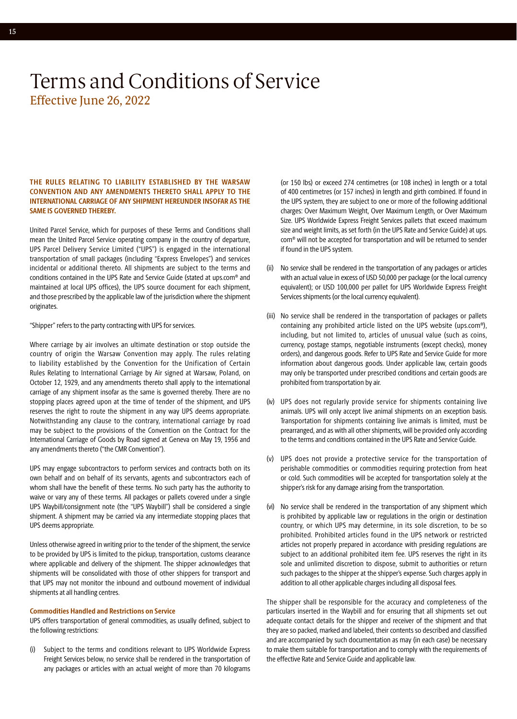### **THE RULES RELATING TO LIABILITY ESTABLISHED BY THE WARSAW CONVENTION AND ANY AMENDMENTS THERETO SHALL APPLY TO THE INTERNATIONAL CARRIAGE OF ANY SHIPMENT HEREUNDER INSOFAR AS THE SAME IS GOVERNED THEREBY.**

United Parcel Service, which for purposes of these Terms and Conditions shall mean the United Parcel Service operating company in the country of departure, UPS Parcel Delivery Service Limited ("UPS") is engaged in the international transportation of small packages (including "Express Envelopes") and services incidental or additional thereto. All shipments are subject to the terms and conditions contained in the UPS Rate and Service Guide (stated at [ups.com®](http://ups.com) and maintained at local UPS offices), the UPS source document for each shipment, and those prescribed by the applicable law of the jurisdiction where the shipment originates.

"Shipper" refers to the party contracting with UPS for services.

Where carriage by air involves an ultimate destination or stop outside the country of origin the Warsaw Convention may apply. The rules relating to liability established by the Convention for the Unification of Certain Rules Relating to International Carriage by Air signed at Warsaw, Poland, on October 12, 1929, and any amendments thereto shall apply to the international carriage of any shipment insofar as the same is governed thereby. There are no stopping places agreed upon at the time of tender of the shipment, and UPS reserves the right to route the shipment in any way UPS deems appropriate. Notwithstanding any clause to the contrary, international carriage by road may be subject to the provisions of the Convention on the Contract for the International Carriage of Goods by Road signed at Geneva on May 19, 1956 and any amendments thereto ("the CMR Convention").

UPS may engage subcontractors to perform services and contracts both on its own behalf and on behalf of its servants, agents and subcontractors each of whom shall have the benefit of these terms. No such party has the authority to waive or vary any of these terms. All packages or pallets covered under a single UPS Waybill/consignment note (the "UPS Waybill") shall be considered a single shipment. A shipment may be carried via any intermediate stopping places that UPS deems appropriate.

Unless otherwise agreed in writing prior to the tender of the shipment, the service to be provided by UPS is limited to the pickup, transportation, customs clearance where applicable and delivery of the shipment. The shipper acknowledges that shipments will be consolidated with those of other shippers for transport and that UPS may not monitor the inbound and outbound movement of individual shipments at all handling centres.

### **Commodities Handled and Restrictions on Service**

UPS offers transportation of general commodities, as usually defined, subject to the following restrictions:

(i) Subject to the terms and conditions relevant to UPS Worldwide Express Freight Services below, no service shall be rendered in the transportation of any packages or articles with an actual weight of more than 70 kilograms

(or 150 lbs) or exceed 274 centimetres (or 108 inches) in length or a total of 400 centimetres (or 157 inches) in length and girth combined. If found in the UPS system, they are subject to one or more of the following additional charges: Over Maximum Weight, Over Maximum Length, or Over Maximum Size. UPS Worldwide Express Freight Services pallets that exceed maximum size and weight limits, as set forth (in the UPS Rate and Service Guide) at [ups.](http://ups.com) [com®](http://ups.com) will not be accepted for transportation and will be returned to sender if found in the UPS system.

- (ii) No service shall be rendered in the transportation of any packages or articles with an actual value in excess of USD 50,000 per package (or the local currency equivalent); or USD 100,000 per pallet for UPS Worldwide Express Freight Services shipments (or the local currency equivalent).
- (iii) No service shall be rendered in the transportation of packages or pallets containing any prohibited article listed on the UPS website (ups.com®), including, but not limited to, articles of unusual value (such as coins, currency, postage stamps, negotiable instruments (except checks), money orders), and dangerous goods. Refer to UPS Rate and Service Guide for more information about dangerous goods. Under applicable law, certain goods may only be transported under prescribed conditions and certain goods are prohibited from transportation by air.
- (iv) UPS does not regularly provide service for shipments containing live animals. UPS will only accept live animal shipments on an exception basis. Transportation for shipments containing live animals is limited, must be prearranged, and as with all other shipments, will be provided only according to the terms and conditions contained in the UPS Rate and Service Guide.
- (v) UPS does not provide a protective service for the transportation of perishable commodities or commodities requiring protection from heat or cold. Such commodities will be accepted for transportation solely at the shipper's risk for any damage arising from the transportation.
- (vi) No service shall be rendered in the transportation of any shipment which is prohibited by applicable law or regulations in the origin or destination country, or which UPS may determine, in its sole discretion, to be so prohibited. Prohibited articles found in the UPS network or restricted articles not properly prepared in accordance with presiding regulations are subject to an additional prohibited item fee. UPS reserves the right in its sole and unlimited discretion to dispose, submit to authorities or return such packages to the shipper at the shipper's expense. Such charges apply in addition to all other applicable charges including all disposal fees.

The shipper shall be responsible for the accuracy and completeness of the particulars inserted in the Waybill and for ensuring that all shipments set out adequate contact details for the shipper and receiver of the shipment and that they are so packed, marked and labeled, their contents so described and classified and are accompanied by such documentation as may (in each case) be necessary to make them suitable for transportation and to comply with the requirements of the effective Rate and Service Guide and applicable law.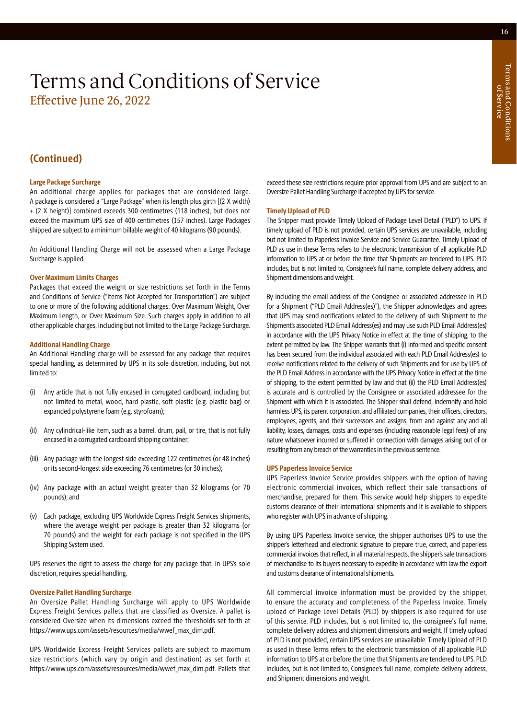### **(Continued)**

### **Large Package Surcharge**

An additional charge applies for packages that are considered large. A package is considered a "Large Package" when its length plus girth [(2 X width) + (2 X height)] combined exceeds 300 centimetres (118 inches), but does not exceed the maximum UPS size of 400 centimetres (157 inches). Large Packages shipped are subject to a minimum billable weight of 40 kilograms (90 pounds).

An Additional Handling Charge will not be assessed when a Large Package Surcharge is applied.

### **Over Maximum Limits Charges**

Packages that exceed the weight or size restrictions set forth in the Terms and Conditions of Service ("Items Not Accepted for Transportation") are subject to one or more of the following additional charges: Over Maximum Weight, Over Maximum Length, or Over Maximum Size. Such charges apply in addition to all other applicable charges, including but not limited to the Large Package Surcharge.

### **Additional Handling Charge**

An Additional Handling charge will be assessed for any package that requires special handling, as determined by UPS in its sole discretion, including, but not limited to:

- (i) Any article that is not fully encased in corrugated cardboard, including but not limited to metal, wood, hard plastic, soft plastic (e.g. plastic bag) or expanded polystyrene foam (e.g. styrofoam);
- (ii) Any cylindrical-like item, such as a barrel, drum, pail, or tire, that is not fully encased in a corrugated cardboard shipping container;
- (iii) Any package with the longest side exceeding 122 centimetres (or 48 inches) or its second-longest side exceeding 76 centimetres (or 30 inches);
- (iv) Any package with an actual weight greater than 32 kilograms (or 70 pounds); and
- (v) Each package, excluding UPS Worldwide Express Freight Services shipments, where the average weight per package is greater than 32 kilograms (or 70 pounds) and the weight for each package is not specified in the UPS Shipping System used.

UPS reserves the right to assess the charge for any package that, in UPS's sole discretion, requires special handling.

### **Oversize Pallet Handling Surcharge**

An Oversize Pallet Handling Surcharge will apply to UPS Worldwide Express Freight Services pallets that are classified as Oversize. A pallet is considered Oversize when its dimensions exceed the thresholds set forth at [https://www.ups.com/assets/resources/media/wwef\\_max\\_dim.pdf.](https://www.ups.com/assets/resources/media/wwef_max_dim.pdf)

UPS Worldwide Express Freight Services pallets are subject to maximum size restrictions (which vary by origin and destination) as set forth at https://www.ups.com/assets/resources/media/wwef\_max\_dim.pdf. Pallets that exceed these size restrictions require prior approval from UPS and are subject to an Oversize Pallet Handling Surcharge if accepted by UPS for service.

### **Timely Upload of PLD**

The Shipper must provide Timely Upload of Package Level Detail ("PLD") to UPS. If timely upload of PLD is not provided, certain UPS services are unavailable, including but not limited to Paperless Invoice Service and Service Guarantee. Timely Upload of PLD as use in these Terms refers to the electronic transmission of all applicable PLD information to UPS at or before the time that Shipments are tendered to UPS. PLD includes, but is not limited to, Consignee's full name, complete delivery address, and Shipment dimensions and weight.

By including the email address of the Consignee or associated addressee in PLD for a Shipment ("PLD Email Address(es)"), the Shipper acknowledges and agrees that UPS may send notifications related to the delivery of such Shipment to the Shipment's associated PLD Email Address(es) and may use such PLD Email Address(es) in accordance with the UPS Privacy Notice in effect at the time of shipping, to the extent permitted by law. The Shipper warrants that (i) informed and specific consent has been secured from the individual associated with each PLD Email Address(es) to receive notifications related to the delivery of such Shipments and for use by UPS of the PLD Email Address in accordance with the UPS Privacy Notice in effect at the time of shipping, to the extent permitted by law and that (ii) the PLD Email Address(es) is accurate and is controlled by the Consignee or associated addressee for the Shipment with which it is associated. The Shipper shall defend, indemnify and hold harmless UPS, its parent corporation, and affiliated companies, their officers, directors, employees, agents, and their successors and assigns, from and against any and all liability, losses, damages, costs and expenses (including reasonable legal fees) of any nature whatsoever incurred or suffered in connection with damages arising out of or resulting from any breach of the warranties in the previous sentence.

#### **UPS Paperless Invoice Service**

UPS Paperless Invoice Service provides shippers with the option of having electronic commercial invoices, which reflect their sale transactions of merchandise, prepared for them. This service would help shippers to expedite customs clearance of their international shipments and it is available to shippers who register with UPS in advance of shipping.

By using UPS Paperless Invoice service, the shipper authorises UPS to use the shipper's letterhead and electronic signature to prepare true, correct, and paperless commercial invoices that reflect, in all material respects, the shipper's sale transactions of merchandise to its buyers necessary to expedite in accordance with law the export and customs clearance of international shipments.

All commercial invoice information must be provided by the shipper, to ensure the accuracy and completeness of the Paperless Invoice. Timely upload of Package Level Details (PLD) by shippers is also required for use of this service. PLD includes, but is not limited to, the consignee's full name, complete delivery address and shipment dimensions and weight. If timely upload of PLD is not provided, certain UPS services are unavailable. Timely Upload of PLD as used in these Terms refers to the electronic transmission of all applicable PLD information to UPS at or before the time that Shipments are tendered to UPS. PLD includes, but is not limited to, Consignee's full name, complete delivery address, and Shipment dimensions and weight.

Terms and Conditions

Ferms and Conditions

of Service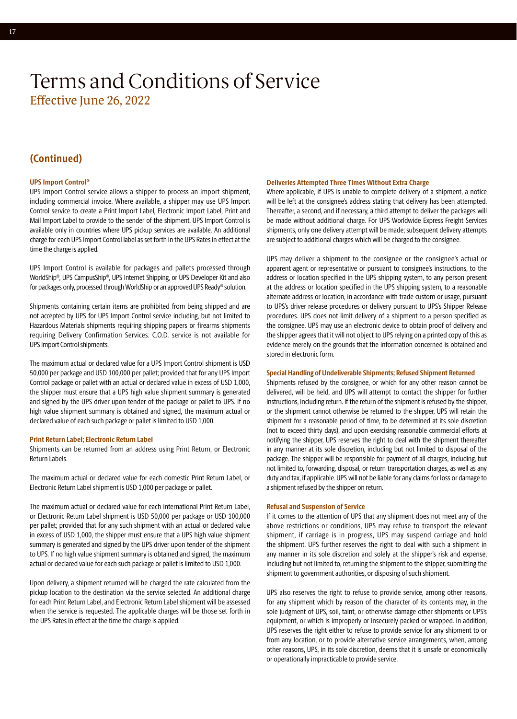### **(Continued)**

### **UPS Import Control®**

UPS Import Control service allows a shipper to process an import shipment, including commercial invoice. Where available, a shipper may use UPS Import Control service to create a Print Import Label, Electronic Import Label, Print and Mail Import Label to provide to the sender of the shipment. UPS Import Control is available only in countries where UPS pickup services are available. An additional charge for each UPS Import Control label as set forth in the UPS Rates in effect at the time the charge is applied.

UPS Import Control is available for packages and pallets processed through WorldShip®, UPS CampusShip®, UPS Internet Shipping, or UPS Developer Kit and also for packages only, processed through WorldShip or an approved UPS Ready® solution.

Shipments containing certain items are prohibited from being shipped and are not accepted by UPS for UPS Import Control service including, but not limited to Hazardous Materials shipments requiring shipping papers or firearms shipments requiring Delivery Confirmation Services. C.O.D. service is not available for UPS Import Control shipments.

The maximum actual or declared value for a UPS Import Control shipment is USD 50,000 per package and USD 100,000 per pallet; provided that for any UPS Import Control package or pallet with an actual or declared value in excess of USD 1,000, the shipper must ensure that a UPS high value shipment summary is generated and signed by the UPS driver upon tender of the package or pallet to UPS. If no high value shipment summary is obtained and signed, the maximum actual or declared value of each such package or pallet is limited to USD 1,000.

### **Print Return Label; Electronic Return Label**

Shipments can be returned from an address using Print Return, or Electronic Return Labels.

The maximum actual or declared value for each domestic Print Return Label, or Electronic Return Label shipment is USD 1,000 per package or pallet.

The maximum actual or declared value for each international Print Return Label, or Electronic Return Label shipment is USD 50,000 per package or USD 100,000 per pallet; provided that for any such shipment with an actual or declared value in excess of USD 1,000, the shipper must ensure that a UPS high value shipment summary is generated and signed by the UPS driver upon tender of the shipment to UPS. If no high value shipment summary is obtained and signed, the maximum actual or declared value for each such package or pallet is limited to USD 1,000.

Upon delivery, a shipment returned will be charged the rate calculated from the pickup location to the destination via the service selected. An additional charge for each Print Return Label, and Electronic Return Label shipment will be assessed when the service is requested. The applicable charges will be those set forth in the UPS Rates in effect at the time the charge is applied.

#### **Deliveries Attempted Three Times Without Extra Charge**

Where applicable, if UPS is unable to complete delivery of a shipment, a notice will be left at the consignee's address stating that delivery has been attempted. Thereafter, a second, and if necessary, a third attempt to deliver the packages will be made without additional charge. For UPS Worldwide Express Freight Services shipments, only one delivery attempt will be made; subsequent delivery attempts are subject to additional charges which will be charged to the consignee.

UPS may deliver a shipment to the consignee or the consignee's actual or apparent agent or representative or pursuant to consignee's instructions, to the address or location specified in the UPS shipping system, to any person present at the address or location specified in the UPS shipping system, to a reasonable alternate address or location, in accordance with trade custom or usage, pursuant to UPS's driver release procedures or delivery pursuant to UPS's Shipper Release procedures. UPS does not limit delivery of a shipment to a person specified as the consignee. UPS may use an electronic device to obtain proof of delivery and the shipper agrees that it will not object to UPS relying on a printed copy of this as evidence merely on the grounds that the information concerned is obtained and stored in electronic form.

### **Special Handling of Undeliverable Shipments; Refused Shipment Returned**

Shipments refused by the consignee, or which for any other reason cannot be delivered, will be held, and UPS will attempt to contact the shipper for further instructions, including return. If the return of the shipment is refused by the shipper, or the shipment cannot otherwise be returned to the shipper, UPS will retain the shipment for a reasonable period of time, to be determined at its sole discretion (not to exceed thirty days), and upon exercising reasonable commercial efforts at notifying the shipper, UPS reserves the right to deal with the shipment thereafter in any manner at its sole discretion, including but not limited to disposal of the package. The shipper will be responsible for payment of all charges, including, but not limited to, forwarding, disposal, or return transportation charges, as well as any duty and tax, if applicable. UPS will not be liable for any claims for loss or damage to a shipment refused by the shipper on return.

### **Refusal and Suspension of Service**

If it comes to the attention of UPS that any shipment does not meet any of the above restrictions or conditions, UPS may refuse to transport the relevant shipment, if carriage is in progress, UPS may suspend carriage and hold the shipment. UPS further reserves the right to deal with such a shipment in any manner in its sole discretion and solely at the shipper's risk and expense, including but not limited to, returning the shipment to the shipper, submitting the shipment to government authorities, or disposing of such shipment.

UPS also reserves the right to refuse to provide service, among other reasons, for any shipment which by reason of the character of its contents may, in the sole judgment of UPS, soil, taint, or otherwise damage other shipments or UPS's equipment, or which is improperly or insecurely packed or wrapped. In addition, UPS reserves the right either to refuse to provide service for any shipment to or from any location, or to provide alternative service arrangements, when, among other reasons, UPS, in its sole discretion, deems that it is unsafe or economically or operationally impracticable to provide service.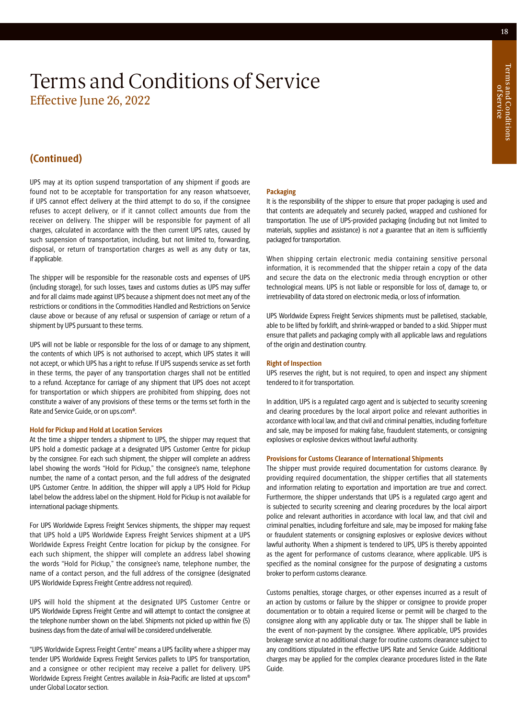### **(Continued)**

UPS may at its option suspend transportation of any shipment if goods are found not to be acceptable for transportation for any reason whatsoever, if UPS cannot effect delivery at the third attempt to do so, if the consignee refuses to accept delivery, or if it cannot collect amounts due from the receiver on delivery. The shipper will be responsible for payment of all charges, calculated in accordance with the then current UPS rates, caused by such suspension of transportation, including, but not limited to, forwarding, disposal, or return of transportation charges as well as any duty or tax, if applicable.

The shipper will be responsible for the reasonable costs and expenses of UPS (including storage), for such losses, taxes and customs duties as UPS may suffer and for all claims made against UPS because a shipment does not meet any of the restrictions or conditions in the Commodities Handled and Restrictions on Service clause above or because of any refusal or suspension of carriage or return of a shipment by UPS pursuant to these terms.

UPS will not be liable or responsible for the loss of or damage to any shipment, the contents of which UPS is not authorised to accept, which UPS states it will not accept, or which UPS has a right to refuse. If UPS suspends service as set forth in these terms, the payer of any transportation charges shall not be entitled to a refund. Acceptance for carriage of any shipment that UPS does not accept for transportation or which shippers are prohibited from shipping, does not constitute a waiver of any provisions of these terms or the terms set forth in the Rate and Service Guide, or on [ups.com®](http://ups.com).

### **Hold for Pickup and Hold at Location Services**

At the time a shipper tenders a shipment to UPS, the shipper may request that UPS hold a domestic package at a designated UPS Customer Centre for pickup by the consignee. For each such shipment, the shipper will complete an address label showing the words "Hold for Pickup," the consignee's name, telephone number, the name of a contact person, and the full address of the designated UPS Customer Centre. In addition, the shipper will apply a UPS Hold for Pickup label below the address label on the shipment. Hold for Pickup is not available for international package shipments.

For UPS Worldwide Express Freight Services shipments, the shipper may request that UPS hold a UPS Worldwide Express Freight Services shipment at a UPS Worldwide Express Freight Centre location for pickup by the consignee. For each such shipment, the shipper will complete an address label showing the words "Hold for Pickup," the consignee's name, telephone number, the name of a contact person, and the full address of the consignee (designated UPS Worldwide Express Freight Centre address not required).

UPS will hold the shipment at the designated UPS Customer Centre or UPS Worldwide Express Freight Centre and will attempt to contact the consignee at the telephone number shown on the label. Shipments not picked up within five (5) business days from the date of arrival will be considered undeliverable.

"UPS Worldwide Express Freight Centre" means a UPS facility where a shipper may tender UPS Worldwide Express Freight Services pallets to UPS for transportation, and a consignee or other recipient may receive a pallet for delivery. UPS Worldwide Express Freight Centres available in Asia-Pacific are listed at [ups.com](http://ups.com)® under Global Locator section.

### **Packaging**

It is the responsibility of the shipper to ensure that proper packaging is used and that contents are adequately and securely packed, wrapped and cushioned for transportation. The use of UPS-provided packaging (including but not limited to materials, supplies and assistance) is *not* a guarantee that an item is sufficiently packaged for transportation.

When shipping certain electronic media containing sensitive personal information, it is recommended that the shipper retain a copy of the data and secure the data on the electronic media through encryption or other technological means. UPS is not liable or responsible for loss of, damage to, or irretrievability of data stored on electronic media, or loss of information.

UPS Worldwide Express Freight Services shipments must be palletised, stackable, able to be lifted by forklift, and shrink-wrapped or banded to a skid. Shipper must ensure that pallets and packaging comply with all applicable laws and regulations of the origin and destination country.

### **Right of Inspection**

UPS reserves the right, but is not required, to open and inspect any shipment tendered to it for transportation.

In addition, UPS is a regulated cargo agent and is subjected to security screening and clearing procedures by the local airport police and relevant authorities in accordance with local law, and that civil and criminal penalties, including forfeiture and sale, may be imposed for making false, fraudulent statements, or consigning explosives or explosive devices without lawful authority.

### **Provisions for Customs Clearance of International Shipments**

The shipper must provide required documentation for customs clearance. By providing required documentation, the shipper certifies that all statements and information relating to exportation and importation are true and correct. Furthermore, the shipper understands that UPS is a regulated cargo agent and is subjected to security screening and clearing procedures by the local airport police and relevant authorities in accordance with local law, and that civil and criminal penalties, including forfeiture and sale, may be imposed for making false or fraudulent statements or consigning explosives or explosive devices without lawful authority. When a shipment is tendered to UPS, UPS is thereby appointed as the agent for performance of customs clearance, where applicable. UPS is specified as the nominal consignee for the purpose of designating a customs broker to perform customs clearance.

Customs penalties, storage charges, or other expenses incurred as a result of an action by customs or failure by the shipper or consignee to provide proper documentation or to obtain a required license or permit will be charged to the consignee along with any applicable duty or tax. The shipper shall be liable in the event of non-payment by the consignee. Where applicable, UPS provides brokerage service at no additional charge for routine customs clearance subject to any conditions stipulated in the effective UPS Rate and Service Guide. Additional charges may be applied for the complex clearance procedures listed in the Rate Guide.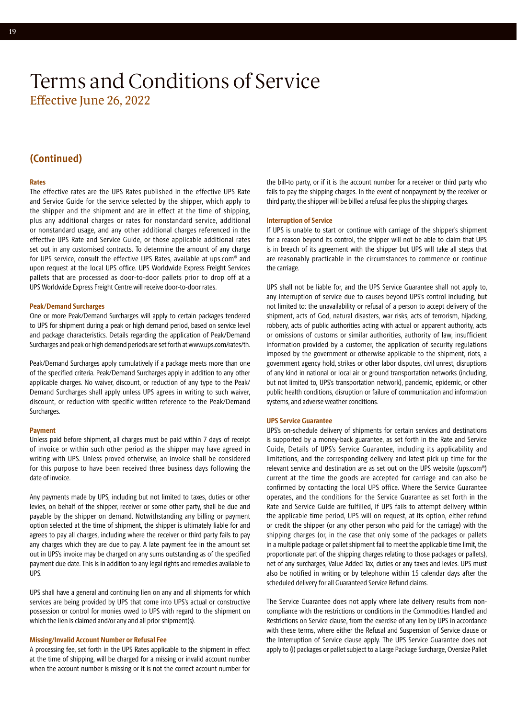### **(Continued)**

### **Rates**

The effective rates are the UPS Rates published in the effective UPS Rate and Service Guide for the service selected by the shipper, which apply to the shipper and the shipment and are in effect at the time of shipping, plus any additional charges or rates for nonstandard service, additional or nonstandard usage, and any other additional charges referenced in the effective UPS Rate and Service Guide, or those applicable additional rates set out in any customised contracts. To determine the amount of any charge for UPS service, consult the effective UPS Rates, available at [ups.com®](http://ups.com) and upon request at the local UPS office. UPS Worldwide Express Freight Services pallets that are processed as door-to-door pallets prior to drop off at a UPS Worldwide Express Freight Centre will receive door-to-door rates.

### **Peak/Demand Surcharges**

One or more Peak/Demand Surcharges will apply to certain packages tendered to UPS for shipment during a peak or high demand period, based on service level and package characteristics. Details regarding the application of Peak/Demand Surcharges and peak or high demand periods are set forth at [www.ups.com/rates/th](http://www.ups.com/rates/th).

Peak/Demand Surcharges apply cumulatively if a package meets more than one of the specified criteria. Peak/Demand Surcharges apply in addition to any other applicable charges. No waiver, discount, or reduction of any type to the Peak/ Demand Surcharges shall apply unless UPS agrees in writing to such waiver, discount, or reduction with specific written reference to the Peak/Demand Surcharges.

#### **Payment**

Unless paid before shipment, all charges must be paid within 7 days of receipt of invoice or within such other period as the shipper may have agreed in writing with UPS. Unless proved otherwise, an invoice shall be considered for this purpose to have been received three business days following the date of invoice.

Any payments made by UPS, including but not limited to taxes, duties or other levies, on behalf of the shipper, receiver or some other party, shall be due and payable by the shipper on demand. Notwithstanding any billing or payment option selected at the time of shipment, the shipper is ultimately liable for and agrees to pay all charges, including where the receiver or third party fails to pay any charges which they are due to pay. A late payment fee in the amount set out in UPS's invoice may be charged on any sums outstanding as of the specified payment due date. This is in addition to any legal rights and remedies available to UPS.

UPS shall have a general and continuing lien on any and all shipments for which services are being provided by UPS that come into UPS's actual or constructive possession or control for monies owed to UPS with regard to the shipment on which the lien is claimed and/or any and all prior shipment(s).

### **Missing/Invalid Account Number or Refusal Fee**

A processing fee, set forth in the UPS Rates applicable to the shipment in effect at the time of shipping, will be charged for a missing or invalid account number when the account number is missing or it is not the correct account number for the bill-to party, or if it is the account number for a receiver or third party who fails to pay the shipping charges. In the event of nonpayment by the receiver or third party, the shipper will be billed a refusal fee plus the shipping charges.

### **Interruption of Service**

If UPS is unable to start or continue with carriage of the shipper's shipment for a reason beyond its control, the shipper will not be able to claim that UPS is in breach of its agreement with the shipper but UPS will take all steps that are reasonably practicable in the circumstances to commence or continue the carriage.

UPS shall not be liable for, and the UPS Service Guarantee shall not apply to, any interruption of service due to causes beyond UPS's control including, but not limited to: the unavailability or refusal of a person to accept delivery of the shipment, acts of God, natural disasters, war risks, acts of terrorism, hijacking, robbery, acts of public authorities acting with actual or apparent authority, acts or omissions of customs or similar authorities, authority of law, insufficient information provided by a customer, the application of security regulations imposed by the government or otherwise applicable to the shipment, riots, a government agency hold, strikes or other labor disputes, civil unrest, disruptions of any kind in national or local air or ground transportation networks (including, but not limited to, UPS's transportation network), pandemic, epidemic, or other public health conditions, disruption or failure of communication and information systems, and adverse weather conditions.

#### **UPS Service Guarantee**

UPS's on-schedule delivery of shipments for certain services and destinations is supported by a money-back guarantee, as set forth in the Rate and Service Guide, Details of UPS's Service Guarantee, including its applicability and limitations, and the corresponding delivery and latest pick up time for the relevant service and destination are as set out on the UPS website ([ups.com®](http://ups.com)) current at the time the goods are accepted for carriage and can also be confirmed by contacting the local UPS office. Where the Service Guarantee operates, and the conditions for the Service Guarantee as set forth in the Rate and Service Guide are fulfilled, if UPS fails to attempt delivery within the applicable time period, UPS will on request, at its option, either refund or credit the shipper (or any other person who paid for the carriage) with the shipping charges (or, in the case that only some of the packages or pallets in a multiple package or pallet shipment fail to meet the applicable time limit, the proportionate part of the shipping charges relating to those packages or pallets), net of any surcharges, Value Added Tax, duties or any taxes and levies. UPS must also be notified in writing or by telephone within 15 calendar days after the scheduled delivery for all Guaranteed Service Refund claims.

The Service Guarantee does not apply where late delivery results from noncompliance with the restrictions or conditions in the Commodities Handled and Restrictions on Service clause, from the exercise of any lien by UPS in accordance with these terms, where either the Refusal and Suspension of Service clause or the Interruption of Service clause apply. The UPS Service Guarantee does not apply to (i) packages or pallet subject to a Large Package Surcharge, Oversize Pallet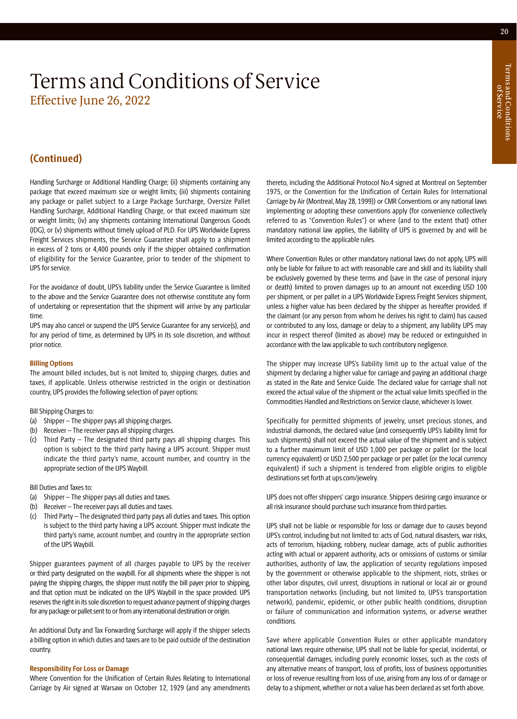### **(Continued)**

Handling Surcharge or Additional Handling Charge; (ii) shipments containing any package that exceed maximum size or weight limits; (iii) shipments containing any package or pallet subject to a Large Package Surcharge, Oversize Pallet Handling Surcharge, Additional Handling Charge, or that exceed maximum size or weight limits; (iv) any shipments containing International Dangerous Goods (IDG), or (v) shipments without timely upload of PLD. For UPS Worldwide Express Freight Services shipments, the Service Guarantee shall apply to a shipment in excess of 2 tons or 4,400 pounds only if the shipper obtained confirmation of eligibility for the Service Guarantee, prior to tender of the shipment to UPS for service.

For the avoidance of doubt, UPS's liability under the Service Guarantee is limited to the above and the Service Guarantee does not otherwise constitute any form of undertaking or representation that the shipment will arrive by any particular time.

UPS may also cancel or suspend the UPS Service Guarantee for any service(s), and for any period of time, as determined by UPS in its sole discretion, and without prior notice.

### **Billing Options**

The amount billed includes, but is not limited to, shipping charges, duties and taxes, if applicable. Unless otherwise restricted in the origin or destination country, UPS provides the following selection of payer options:

### Bill Shipping Charges to:

- (a) Shipper The shipper pays all shipping charges.
- (b) Receiver The receiver pays all shipping charges.
- (c) Third Party The designated third party pays all shipping charges. This option is subject to the third party having a UPS account. Shipper must indicate the third party's name, account number, and country in the appropriate section of the UPS Waybill.

Bill Duties and Taxes to:

- (a) Shipper The shipper pays all duties and taxes.
- (b) Receiver The receiver pays all duties and taxes.
- (c) Third Party The designated third party pays all duties and taxes. This option is subject to the third party having a UPS account. Shipper must indicate the third party's name, account number, and country in the appropriate section of the UPS Waybill.

Shipper guarantees payment of all charges payable to UPS by the receiver or third party designated on the waybill. For all shipments where the shipper is not paying the shipping charges, the shipper must notify the bill payer prior to shipping, and that option must be indicated on the UPS Waybill in the space provided. UPS reserves the right in its sole discretion to request advance payment of shipping charges for any package or pallet sent to or from any international destination or origin.

An additional Duty and Tax Forwarding Surcharge will apply if the shipper selects a billing option in which duties and taxes are to be paid outside of the destination country.

### **Responsibility For Loss or Damage**

Where Convention for the Unification of Certain Rules Relating to International Carriage by Air signed at Warsaw on October 12, 1929 (and any amendments thereto, including the Additional Protocol No.4 signed at Montreal on September 1975, or the Convention for the Unification of Certain Rules for International Carriage by Air (Montreal, May 28, 1999)) or CMR Conventions or any national laws implementing or adopting these conventions apply (for convenience collectively referred to as "Convention Rules") or where (and to the extent that) other mandatory national law applies, the liability of UPS is governed by and will be limited according to the applicable rules.

Where Convention Rules or other mandatory national laws do not apply, UPS will only be liable for failure to act with reasonable care and skill and its liability shall be exclusively governed by these terms and (save in the case of personal injury or death) limited to proven damages up to an amount not exceeding USD 100 per shipment, or per pallet in a UPS Worldwide Express Freight Services shipment, unless a higher value has been declared by the shipper as hereafter provided. If the claimant (or any person from whom he derives his right to claim) has caused or contributed to any loss, damage or delay to a shipment, any liability UPS may incur in respect thereof (limited as above) may be reduced or extinguished in accordance with the law applicable to such contributory negligence.

The shipper may increase UPS's liability limit up to the actual value of the shipment by declaring a higher value for carriage and paying an additional charge as stated in the Rate and Service Guide. The declared value for carriage shall not exceed the actual value of the shipment or the actual value limits specified in the Commodities Handled and Restrictions on Service clause, whichever is lower.

Specifically for permitted shipments of jewelry, unset precious stones, and industrial diamonds, the declared value (and consequently UPS's liability limit for such shipments) shall not exceed the actual value of the shipment and is subject to a further maximum limit of USD 1,000 per package or pallet (or the local currency equivalent) or USD 2,500 per package or per pallet (or the local currency equivalent) if such a shipment is tendered from eligible origins to eligible destinations set forth at [ups.com/jewelry.](https://www.ups.com/jewelry)

UPS does not offer shippers' cargo insurance. Shippers desiring cargo insurance or all risk insurance should purchase such insurance from third parties.

UPS shall not be liable or responsible for loss or damage due to causes beyond UPS's control, including but not limited to: acts of God, natural disasters, war risks, acts of terrorism, hijacking, robbery, nuclear damage, acts of public authorities acting with actual or apparent authority, acts or omissions of customs or similar authorities, authority of law, the application of security regulations imposed by the government or otherwise applicable to the shipment, riots, strikes or other labor disputes, civil unrest, disruptions in national or local air or ground transportation networks (including, but not limited to, UPS's transportation network), pandemic, epidemic, or other public health conditions, disruption or failure of communication and information systems, or adverse weather conditions.

Save where applicable Convention Rules or other applicable mandatory national laws require otherwise, UPS shall not be liable for special, incidental, or consequential damages, including purely economic losses, such as the costs of any alternative means of transport, loss of profits, loss of business opportunities or loss of revenue resulting from loss of use, arising from any loss of or damage or delay to a shipment, whether or not a value has been declared as set forth above.